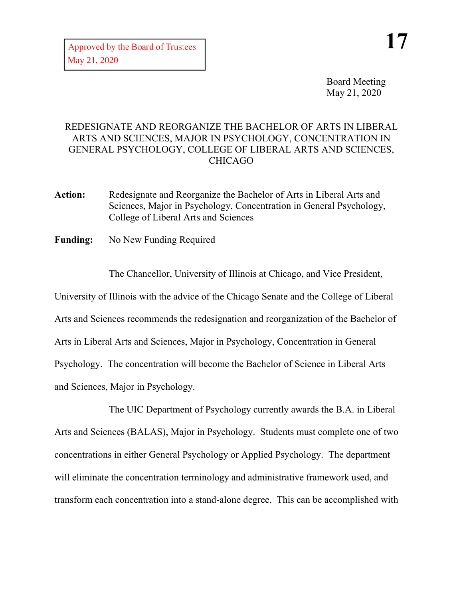Board Meeting May 21, 2020

## REDESIGNATE AND REORGANIZE THE BACHELOR OF ARTS IN LIBERAL ARTS AND SCIENCES, MAJOR IN PSYCHOLOGY, CONCENTRATION IN GENERAL PSYCHOLOGY, COLLEGE OF LIBERAL ARTS AND SCIENCES, CHICAGO

- **Action:** Redesignate and Reorganize the Bachelor of Arts in Liberal Arts and Sciences, Major in Psychology, Concentration in General Psychology, College of Liberal Arts and Sciences
- **Funding:** No New Funding Required

The Chancellor, University of Illinois at Chicago, and Vice President,

University of Illinois with the advice of the Chicago Senate and the College of Liberal Arts and Sciences recommends the redesignation and reorganization of the Bachelor of Arts in Liberal Arts and Sciences, Major in Psychology, Concentration in General Psychology. The concentration will become the Bachelor of Science in Liberal Arts and Sciences, Major in Psychology.

The UIC Department of Psychology currently awards the B.A. in Liberal Arts and Sciences (BALAS), Major in Psychology. Students must complete one of two concentrations in either General Psychology or Applied Psychology. The department will eliminate the concentration terminology and administrative framework used, and transform each concentration into a stand-alone degree. This can be accomplished with